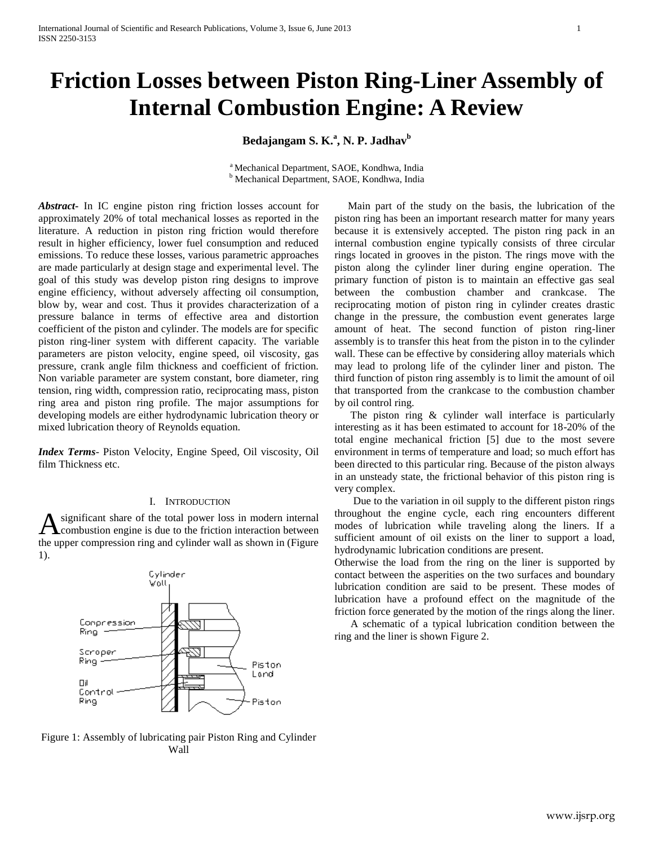# **Friction Losses between Piston Ring-Liner Assembly of Internal Combustion Engine: A Review**

**Bedajangam S. K.<sup>a</sup> , N. P. Jadhav<sup>b</sup>**

<sup>a</sup> Mechanical Department, SAOE, Kondhwa, India <sup>b</sup> Mechanical Department, SAOE, Kondhwa, India

*Abstract***-** In IC engine piston ring friction losses account for approximately 20% of total mechanical losses as reported in the literature. A reduction in piston ring friction would therefore result in higher efficiency, lower fuel consumption and reduced emissions. To reduce these losses, various parametric approaches are made particularly at design stage and experimental level. The goal of this study was develop piston ring designs to improve engine efficiency, without adversely affecting oil consumption, blow by, wear and cost. Thus it provides characterization of a pressure balance in terms of effective area and distortion coefficient of the piston and cylinder. The models are for specific piston ring-liner system with different capacity. The variable parameters are piston velocity, engine speed, oil viscosity, gas pressure, crank angle film thickness and coefficient of friction. Non variable parameter are system constant, bore diameter, ring tension, ring width, compression ratio, reciprocating mass, piston ring area and piston ring profile. The major assumptions for developing models are either hydrodynamic lubrication theory or mixed lubrication theory of Reynolds equation.

*Index Terms*- Piston Velocity, Engine Speed, Oil viscosity, Oil film Thickness etc.

### I. INTRODUCTION

significant share of the total power loss in modern internal combustion engine is due to the friction interaction between the upper compression ring and cylinder wall as shown in (Figure 1). A



Figure 1: Assembly of lubricating pair Piston Ring and Cylinder Wall

 Main part of the study on the basis, the lubrication of the piston ring has been an important research matter for many years because it is extensively accepted. The piston ring pack in an internal combustion engine typically consists of three circular rings located in grooves in the piston. The rings move with the piston along the cylinder liner during engine operation. The primary function of piston is to maintain an effective gas seal between the combustion chamber and crankcase. The reciprocating motion of piston ring in cylinder creates drastic change in the pressure, the combustion event generates large amount of heat. The second function of piston ring-liner assembly is to transfer this heat from the piston in to the cylinder wall. These can be effective by considering alloy materials which may lead to prolong life of the cylinder liner and piston. The third function of piston ring assembly is to limit the amount of oil that transported from the crankcase to the combustion chamber by oil control ring.

 The piston ring & cylinder wall interface is particularly interesting as it has been estimated to account for 18-20% of the total engine mechanical friction [5] due to the most severe environment in terms of temperature and load; so much effort has been directed to this particular ring. Because of the piston always in an unsteady state, the frictional behavior of this piston ring is very complex.

 Due to the variation in oil supply to the different piston rings throughout the engine cycle, each ring encounters different modes of lubrication while traveling along the liners. If a sufficient amount of oil exists on the liner to support a load, hydrodynamic lubrication conditions are present.

Otherwise the load from the ring on the liner is supported by contact between the asperities on the two surfaces and boundary lubrication condition are said to be present. These modes of lubrication have a profound effect on the magnitude of the friction force generated by the motion of the rings along the liner.

 A schematic of a typical lubrication condition between the ring and the liner is shown Figure 2.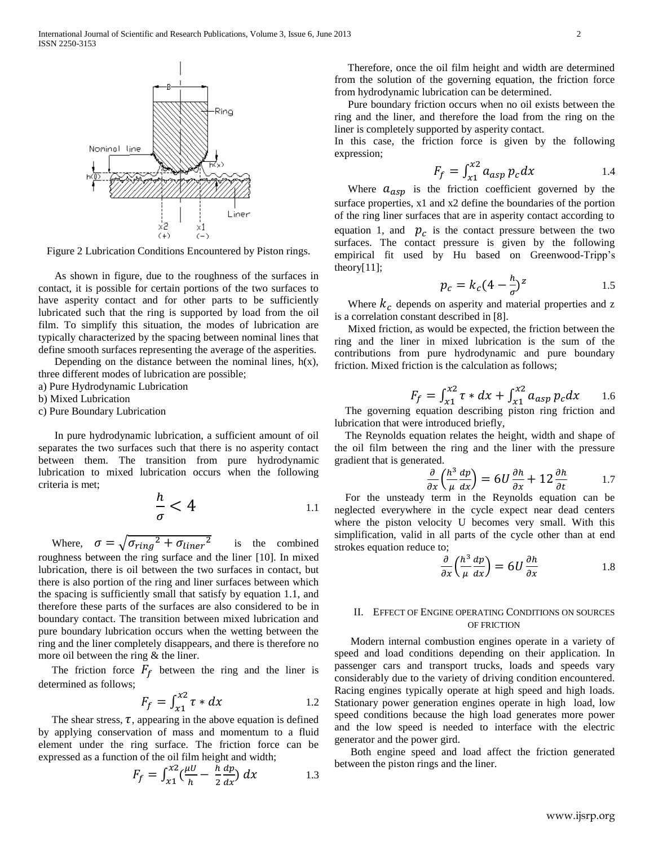

Figure 2 Lubrication Conditions Encountered by Piston rings.

 As shown in figure, due to the roughness of the surfaces in contact, it is possible for certain portions of the two surfaces to have asperity contact and for other parts to be sufficiently lubricated such that the ring is supported by load from the oil film. To simplify this situation, the modes of lubrication are typically characterized by the spacing between nominal lines that define smooth surfaces representing the average of the asperities.

Depending on the distance between the nominal lines,  $h(x)$ , three different modes of lubrication are possible;

a) Pure Hydrodynamic Lubrication

b) Mixed Lubrication

c) Pure Boundary Lubrication

 In pure hydrodynamic lubrication, a sufficient amount of oil separates the two surfaces such that there is no asperity contact between them. The transition from pure hydrodynamic lubrication to mixed lubrication occurs when the following criteria is met;

$$
\frac{h}{\sigma} < 4 \tag{1.1}
$$

Where,  $\sigma = \sqrt{\sigma_{ring}^2}$  is the combined roughness between the ring surface and the liner [10]. In mixed lubrication, there is oil between the two surfaces in contact, but there is also portion of the ring and liner surfaces between which the spacing is sufficiently small that satisfy by equation 1.1, and therefore these parts of the surfaces are also considered to be in boundary contact. The transition between mixed lubrication and pure boundary lubrication occurs when the wetting between the ring and the liner completely disappears, and there is therefore no more oil between the ring & the liner.

The friction force  $F_f$  between the ring and the liner is determined as follows;

$$
F_f = \int_{x1}^{x2} \tau * dx \qquad 1.2
$$

The shear stress,  $\tau$ , appearing in the above equation is defined by applying conservation of mass and momentum to a fluid element under the ring surface. The friction force can be expressed as a function of the oil film height and width;

$$
F_f = \int_{x1}^{x2} \left(\frac{\mu U}{h} - \frac{h}{2}\frac{dp}{dx}\right) dx \tag{1.3}
$$

 Therefore, once the oil film height and width are determined from the solution of the governing equation, the friction force from hydrodynamic lubrication can be determined.

 Pure boundary friction occurs when no oil exists between the ring and the liner, and therefore the load from the ring on the liner is completely supported by asperity contact.

In this case, the friction force is given by the following expression;

$$
F_f = \int_{x1}^{x2} a_{asp} p_c dx
$$
 1.4

Where  $a_{asp}$  is the friction coefficient governed by the surface properties, x1 and x2 define the boundaries of the portion of the ring liner surfaces that are in asperity contact according to equation 1, and  $p_c$  is the contact pressure between the two surfaces. The contact pressure is given by the following empirical fit used by Hu based on Greenwood-Tripp's theory $[11]$ ;

$$
p_c = k_c \left(4 - \frac{h}{\sigma}\right)^z \tag{1.5}
$$

Where  $k_c$  depends on asperity and material properties and z is a correlation constant described in [8].

 Mixed friction, as would be expected, the friction between the ring and the liner in mixed lubrication is the sum of the contributions from pure hydrodynamic and pure boundary friction. Mixed friction is the calculation as follows;

$$
F_f = \int_{x1}^{x2} \tau * dx + \int_{x1}^{x2} a_{asp} p_c dx
$$
 1.6

 The governing equation describing piston ring friction and lubrication that were introduced briefly,

 The Reynolds equation relates the height, width and shape of the oil film between the ring and the liner with the pressure gradient that is generated.

$$
\frac{\partial}{\partial x} \left( \frac{h^3}{\mu} \frac{dp}{dx} \right) = 6U \frac{\partial h}{\partial x} + 12 \frac{\partial h}{\partial t}
$$
 1.7

 For the unsteady term in the Reynolds equation can be neglected everywhere in the cycle expect near dead centers where the piston velocity U becomes very small. With this simplification, valid in all parts of the cycle other than at end strokes equation reduce to;

$$
\frac{\partial}{\partial x} \left( \frac{h^3}{\mu} \frac{dp}{dx} \right) = 6U \frac{\partial h}{\partial x}
$$
 1.8

# II. EFFECT OF ENGINE OPERATING CONDITIONS ON SOURCES OF FRICTION

 Modern internal combustion engines operate in a variety of speed and load conditions depending on their application. In passenger cars and transport trucks, loads and speeds vary considerably due to the variety of driving condition encountered. Racing engines typically operate at high speed and high loads. Stationary power generation engines operate in high load, low speed conditions because the high load generates more power and the low speed is needed to interface with the electric generator and the power gird.

 Both engine speed and load affect the friction generated between the piston rings and the liner.